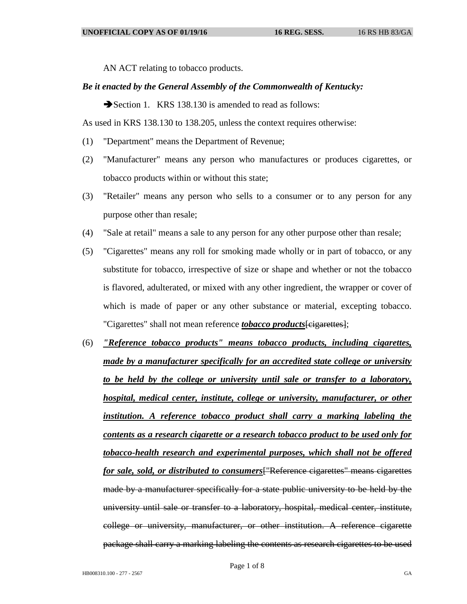AN ACT relating to tobacco products.

## *Be it enacted by the General Assembly of the Commonwealth of Kentucky:*

Section 1. KRS 138.130 is amended to read as follows:

As used in KRS 138.130 to 138.205, unless the context requires otherwise:

- (1) "Department" means the Department of Revenue;
- (2) "Manufacturer" means any person who manufactures or produces cigarettes, or tobacco products within or without this state;
- (3) "Retailer" means any person who sells to a consumer or to any person for any purpose other than resale;
- (4) "Sale at retail" means a sale to any person for any other purpose other than resale;
- (5) "Cigarettes" means any roll for smoking made wholly or in part of tobacco, or any substitute for tobacco, irrespective of size or shape and whether or not the tobacco is flavored, adulterated, or mixed with any other ingredient, the wrapper or cover of which is made of paper or any other substance or material, excepting tobacco. "Cigarettes" shall not mean reference *tobacco products*[cigarettes];
- (6) *"Reference tobacco products" means tobacco products, including cigarettes, made by a manufacturer specifically for an accredited state college or university to be held by the college or university until sale or transfer to a laboratory, hospital, medical center, institute, college or university, manufacturer, or other institution. A reference tobacco product shall carry a marking labeling the contents as a research cigarette or a research tobacco product to be used only for tobacco-health research and experimental purposes, which shall not be offered for sale, sold, or distributed to consumers*["Reference cigarettes" means cigarettes made by a manufacturer specifically for a state public university to be held by the university until sale or transfer to a laboratory, hospital, medical center, institute, college or university, manufacturer, or other institution. A reference cigarette package shall carry a marking labeling the contents as research cigarettes to be used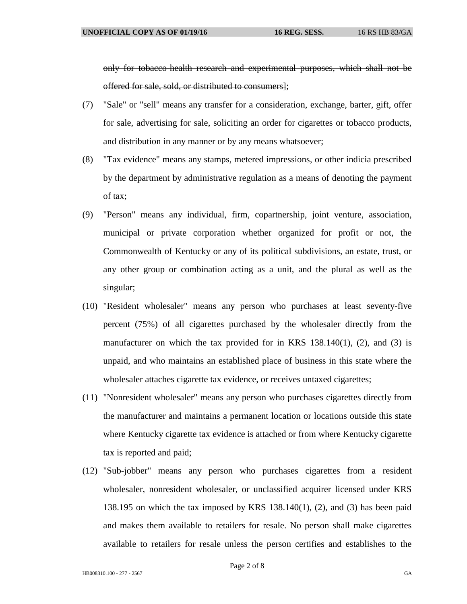only for tobacco-health research and experimental purposes, which shall not be offered for sale, sold, or distributed to consumers];

- (7) "Sale" or "sell" means any transfer for a consideration, exchange, barter, gift, offer for sale, advertising for sale, soliciting an order for cigarettes or tobacco products, and distribution in any manner or by any means whatsoever;
- (8) "Tax evidence" means any stamps, metered impressions, or other indicia prescribed by the department by administrative regulation as a means of denoting the payment of tax;
- (9) "Person" means any individual, firm, copartnership, joint venture, association, municipal or private corporation whether organized for profit or not, the Commonwealth of Kentucky or any of its political subdivisions, an estate, trust, or any other group or combination acting as a unit, and the plural as well as the singular;
- (10) "Resident wholesaler" means any person who purchases at least seventy-five percent (75%) of all cigarettes purchased by the wholesaler directly from the manufacturer on which the tax provided for in KRS  $138.140(1)$ ,  $(2)$ , and  $(3)$  is unpaid, and who maintains an established place of business in this state where the wholesaler attaches cigarette tax evidence, or receives untaxed cigarettes;
- (11) "Nonresident wholesaler" means any person who purchases cigarettes directly from the manufacturer and maintains a permanent location or locations outside this state where Kentucky cigarette tax evidence is attached or from where Kentucky cigarette tax is reported and paid;
- (12) "Sub-jobber" means any person who purchases cigarettes from a resident wholesaler, nonresident wholesaler, or unclassified acquirer licensed under KRS 138.195 on which the tax imposed by KRS 138.140(1), (2), and (3) has been paid and makes them available to retailers for resale. No person shall make cigarettes available to retailers for resale unless the person certifies and establishes to the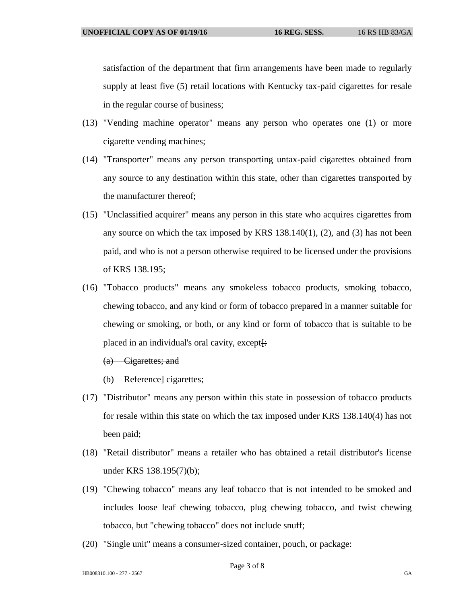satisfaction of the department that firm arrangements have been made to regularly supply at least five (5) retail locations with Kentucky tax-paid cigarettes for resale in the regular course of business;

- (13) "Vending machine operator" means any person who operates one (1) or more cigarette vending machines;
- (14) "Transporter" means any person transporting untax-paid cigarettes obtained from any source to any destination within this state, other than cigarettes transported by the manufacturer thereof;
- (15) "Unclassified acquirer" means any person in this state who acquires cigarettes from any source on which the tax imposed by KRS 138.140(1), (2), and (3) has not been paid, and who is not a person otherwise required to be licensed under the provisions of KRS 138.195;
- (16) "Tobacco products" means any smokeless tobacco products, smoking tobacco, chewing tobacco, and any kind or form of tobacco prepared in a manner suitable for chewing or smoking, or both, or any kind or form of tobacco that is suitable to be placed in an individual's oral cavity, except $\vdash$ :

(a) Cigarettes; and

(b) Reference] cigarettes;

- (17) "Distributor" means any person within this state in possession of tobacco products for resale within this state on which the tax imposed under KRS 138.140(4) has not been paid;
- (18) "Retail distributor" means a retailer who has obtained a retail distributor's license under KRS 138.195(7)(b);
- (19) "Chewing tobacco" means any leaf tobacco that is not intended to be smoked and includes loose leaf chewing tobacco, plug chewing tobacco, and twist chewing tobacco, but "chewing tobacco" does not include snuff;
- (20) "Single unit" means a consumer-sized container, pouch, or package: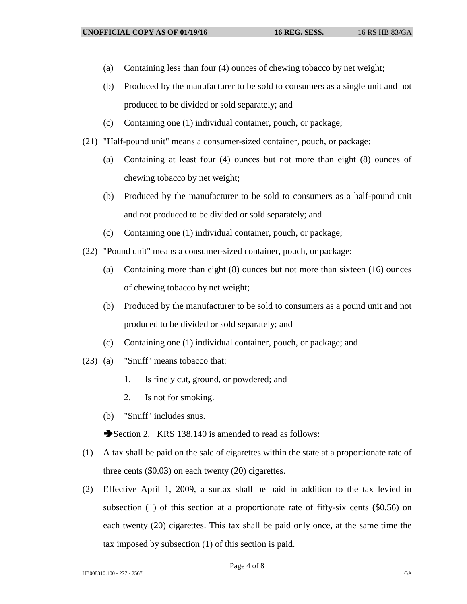- (a) Containing less than four (4) ounces of chewing tobacco by net weight;
- (b) Produced by the manufacturer to be sold to consumers as a single unit and not produced to be divided or sold separately; and
- (c) Containing one (1) individual container, pouch, or package;
- (21) "Half-pound unit" means a consumer-sized container, pouch, or package:
	- (a) Containing at least four (4) ounces but not more than eight (8) ounces of chewing tobacco by net weight;
	- (b) Produced by the manufacturer to be sold to consumers as a half-pound unit and not produced to be divided or sold separately; and
	- (c) Containing one (1) individual container, pouch, or package;
- (22) "Pound unit" means a consumer-sized container, pouch, or package:
	- (a) Containing more than eight (8) ounces but not more than sixteen (16) ounces of chewing tobacco by net weight;
	- (b) Produced by the manufacturer to be sold to consumers as a pound unit and not produced to be divided or sold separately; and
	- (c) Containing one (1) individual container, pouch, or package; and
- (23) (a) "Snuff" means tobacco that:
	- 1. Is finely cut, ground, or powdered; and
	- 2. Is not for smoking.
	- (b) "Snuff" includes snus.

Section 2. KRS 138.140 is amended to read as follows:

- (1) A tax shall be paid on the sale of cigarettes within the state at a proportionate rate of three cents (\$0.03) on each twenty (20) cigarettes.
- (2) Effective April 1, 2009, a surtax shall be paid in addition to the tax levied in subsection (1) of this section at a proportionate rate of fifty-six cents (\$0.56) on each twenty (20) cigarettes. This tax shall be paid only once, at the same time the tax imposed by subsection (1) of this section is paid.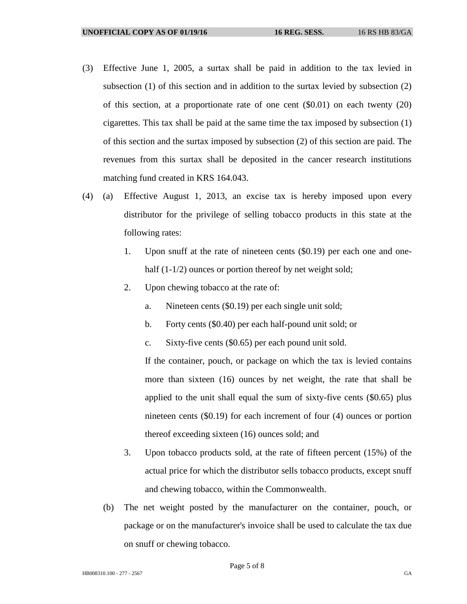- (3) Effective June 1, 2005, a surtax shall be paid in addition to the tax levied in subsection (1) of this section and in addition to the surtax levied by subsection (2) of this section, at a proportionate rate of one cent (\$0.01) on each twenty (20) cigarettes. This tax shall be paid at the same time the tax imposed by subsection (1) of this section and the surtax imposed by subsection (2) of this section are paid. The revenues from this surtax shall be deposited in the cancer research institutions matching fund created in KRS 164.043.
- (4) (a) Effective August 1, 2013, an excise tax is hereby imposed upon every distributor for the privilege of selling tobacco products in this state at the following rates:
	- 1. Upon snuff at the rate of nineteen cents (\$0.19) per each one and onehalf  $(1-1/2)$  ounces or portion thereof by net weight sold;
	- 2. Upon chewing tobacco at the rate of:
		- a. Nineteen cents (\$0.19) per each single unit sold;
		- b. Forty cents (\$0.40) per each half-pound unit sold; or
		- c. Sixty-five cents (\$0.65) per each pound unit sold.

If the container, pouch, or package on which the tax is levied contains more than sixteen (16) ounces by net weight, the rate that shall be applied to the unit shall equal the sum of sixty-five cents (\$0.65) plus nineteen cents (\$0.19) for each increment of four (4) ounces or portion thereof exceeding sixteen (16) ounces sold; and

- 3. Upon tobacco products sold, at the rate of fifteen percent (15%) of the actual price for which the distributor sells tobacco products, except snuff and chewing tobacco, within the Commonwealth.
- (b) The net weight posted by the manufacturer on the container, pouch, or package or on the manufacturer's invoice shall be used to calculate the tax due on snuff or chewing tobacco.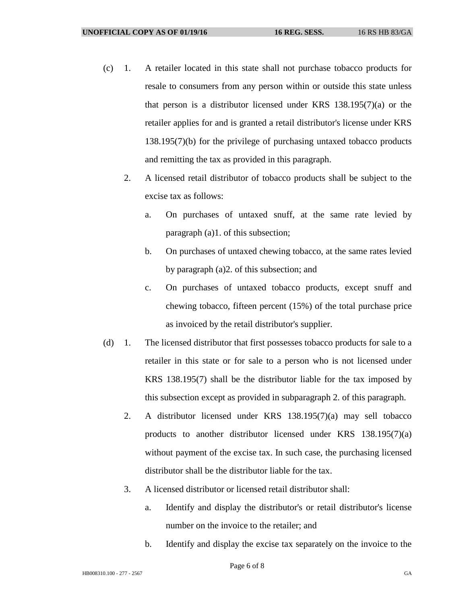- (c) 1. A retailer located in this state shall not purchase tobacco products for resale to consumers from any person within or outside this state unless that person is a distributor licensed under KRS 138.195(7)(a) or the retailer applies for and is granted a retail distributor's license under KRS 138.195(7)(b) for the privilege of purchasing untaxed tobacco products and remitting the tax as provided in this paragraph.
	- 2. A licensed retail distributor of tobacco products shall be subject to the excise tax as follows:
		- a. On purchases of untaxed snuff, at the same rate levied by paragraph (a)1. of this subsection;
		- b. On purchases of untaxed chewing tobacco, at the same rates levied by paragraph (a)2. of this subsection; and
		- c. On purchases of untaxed tobacco products, except snuff and chewing tobacco, fifteen percent (15%) of the total purchase price as invoiced by the retail distributor's supplier.
- (d) 1. The licensed distributor that first possesses tobacco products for sale to a retailer in this state or for sale to a person who is not licensed under KRS 138.195(7) shall be the distributor liable for the tax imposed by this subsection except as provided in subparagraph 2. of this paragraph.
	- 2. A distributor licensed under KRS 138.195(7)(a) may sell tobacco products to another distributor licensed under KRS 138.195(7)(a) without payment of the excise tax. In such case, the purchasing licensed distributor shall be the distributor liable for the tax.
	- 3. A licensed distributor or licensed retail distributor shall:
		- a. Identify and display the distributor's or retail distributor's license number on the invoice to the retailer; and
		- b. Identify and display the excise tax separately on the invoice to the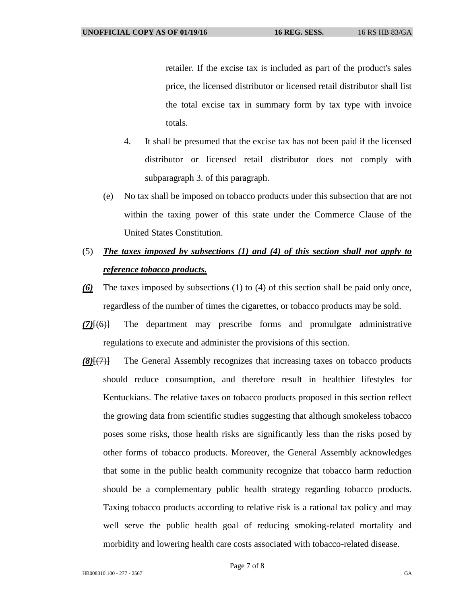retailer. If the excise tax is included as part of the product's sales price, the licensed distributor or licensed retail distributor shall list the total excise tax in summary form by tax type with invoice totals.

- 4. It shall be presumed that the excise tax has not been paid if the licensed distributor or licensed retail distributor does not comply with subparagraph 3. of this paragraph.
- (e) No tax shall be imposed on tobacco products under this subsection that are not within the taxing power of this state under the Commerce Clause of the United States Constitution.
- (5) *The taxes imposed by subsections (1) and (4) of this section shall not apply to reference tobacco products.*
- *(6)* The taxes imposed by subsections (1) to (4) of this section shall be paid only once, regardless of the number of times the cigarettes, or tobacco products may be sold.
- *(7)*[(6)] The department may prescribe forms and promulgate administrative regulations to execute and administer the provisions of this section.
- *(8)*[(7)] The General Assembly recognizes that increasing taxes on tobacco products should reduce consumption, and therefore result in healthier lifestyles for Kentuckians. The relative taxes on tobacco products proposed in this section reflect the growing data from scientific studies suggesting that although smokeless tobacco poses some risks, those health risks are significantly less than the risks posed by other forms of tobacco products. Moreover, the General Assembly acknowledges that some in the public health community recognize that tobacco harm reduction should be a complementary public health strategy regarding tobacco products. Taxing tobacco products according to relative risk is a rational tax policy and may well serve the public health goal of reducing smoking-related mortality and morbidity and lowering health care costs associated with tobacco-related disease.